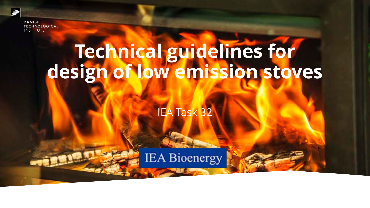

# **Technical guidelines for design of low emission stoves**

IEA Task 32

**IEA Bioenergy**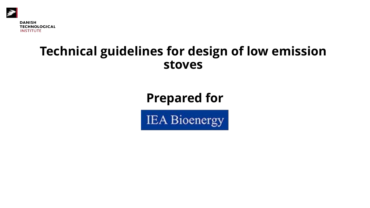

#### **Technical guidelines for design of low emission stoves**

#### **Prepared for**

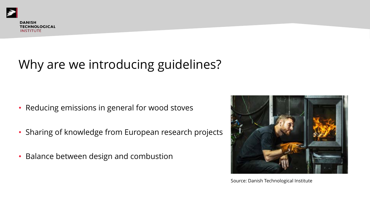# Why are we introducing guidelines?

- Reducing emissions in general for wood stoves
- Sharing of knowledge from European research projects
- Balance between design and combustion



Source: Danish Technological Institute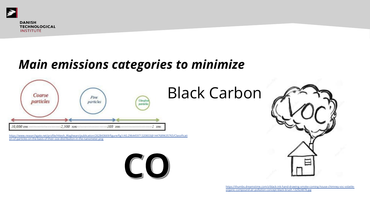

# *Main emissions categories to minimize*



https://www.researchgate.net/profile/Hitesh\_Waghwani/publication/262843669/figure/fig1/AS:296445971320833@1447689635765/Classificati on-of-particles-on-the-basis-of-their-size-distribution-in-the-nanometer.png



https://t

organic-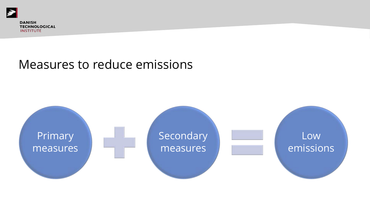

#### Measures to reduce emissions

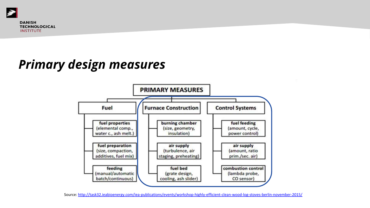

#### *Primary design measures*



Source: http://task32.ieabioenergy.com/iea-publications/events/workshop-highly-efficient-clean-wo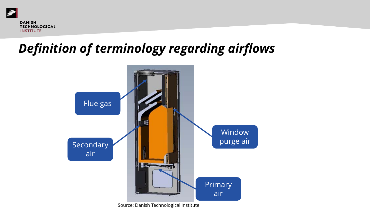

# *Definition of terminology regarding airflows*



Source: Danish Technological Institute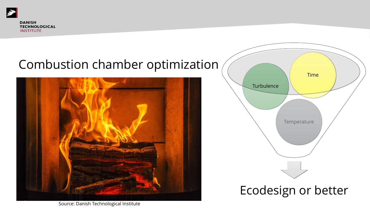Þ

#### Combustion chamber optimization





Source: Danish Technological Institute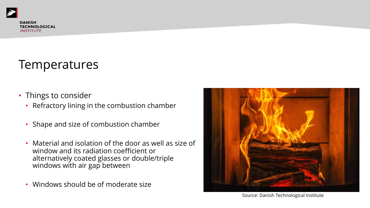#### **Temperatures**

- Things to consider
	- Refractory lining in the combustion chamber
	- Shape and size of combustion chamber
	- Material and isolation of the door as well as size of window and its radiation coefficient or alternatively coated glasses or double/triple windows with air gap between
	- Windows should be of moderate size



Source: Danish Technological Institute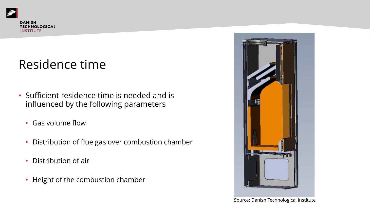#### Residence time

- Sufficient residence time is needed and is influenced by the following parameters
	- Gas volume flow
	- Distribution of flue gas over combustion chamber
	- Distribution of air
	- Height of the combustion chamber



Source: Danish Technological Institute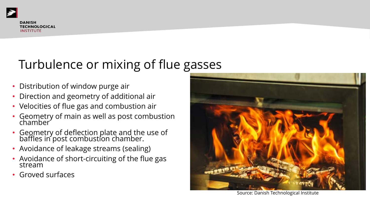# Turbulence or mixing of flue gasses

- Distribution of window purge air
- Direction and geometry of additional air
- Velocities of flue gas and combustion air
- Geometry of main as well as post combustion chamber
- Geometry of deflection plate and the use of baffles in post combustion chamber.
- Avoidance of leakage streams (sealing)
- Avoidance of short-circuiting of the flue gas<br>stream
- Groved surfaces



Source: Danish Technological Institute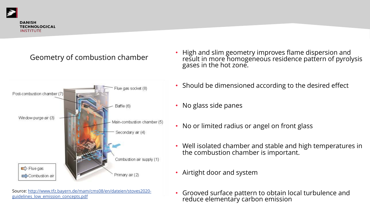

#### Geometry of combustion chamber



Source: http://www.tfz.bayern.de/mam/cms08/en/dateien/stoves2020 guidelines\_low\_emission\_concepts.pdf

- High and slim gec result in more hom gases in the hot z
- Should be dimens
- No glass side pan
- No or limited radi
- Well isolated char the combustion chamber is the combustion of
- Airtight door and
- Grooved surface patterned to obtain reduce elementar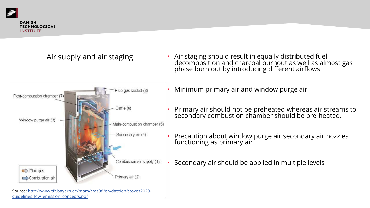

**TECHNOLOGICAL INSTITUTE** 

Post-combustion chamber (7)

Window purge air (3)

#### Air supply and air staging

Flue gas socket (8)

Main-combustion chamber (5)

Secondary air (4)

Baffle (6)

- Air staging should re decomposition and  $\epsilon$ phase burn out by ir
- Minimum primary ai
- Primary air should n secondary combusti
- Precaution about wi functioning as prima
- Secondary air should

Combustion air supply (1)  $\Rightarrow$  Flue gas Primary air (2) Combustion air Source: http://www.tfz.bayern.de/mam/cms08/en/dateien/stoves2020-

guidelines\_low\_emission\_concepts.pdf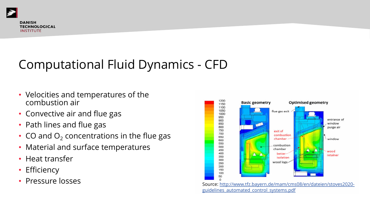

# Computational Fluid Dynamics - CFD

- Velocities and temperatures of the combustion air
- Convective air and flue gas
- Path lines and flue gas
- CO and  $O<sub>2</sub>$  concentrations in the flue gas
- Material and surface temperatures
- Heat transfer
- Efficiency
- ervice: entity and the source: http://www.tfacebook.com/cms08/en/dateien/stoves2020-en/dateien/stoves2020-en/dateien/stoves2020-en/dateien/stoves2020-en/dateien/stoves2020-en/dateien/stoves2020-en/dateien/stoves2020-en/dat

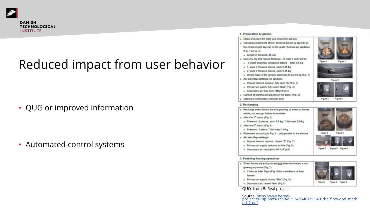

**INSTITUTE** 

# Reduced impact from user behavior

- QUG or improved information
- Automated control systems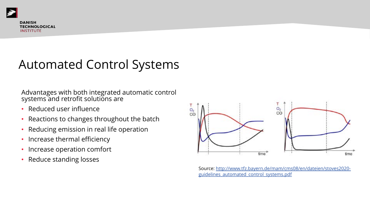

# Automated Control Systems

Advantages with both integrated automatic control systems and retrofit solutions are

- Reduced user influence
- Reactions to changes throughout the batch
- Reducing emission in real life operation
- Increase thermal efficiency
- Increase operation comfort
- Reduce standing losses



Source: http://ww guidelines autom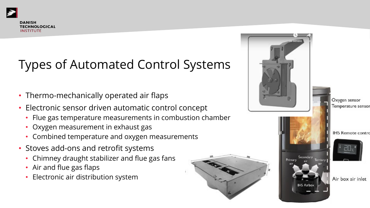# Types of Automated Control Systems

- Thermo-mechanically operated air flaps
- Electronic sensor driven automatic control concept
	- Flue gas temperature measurements in combustion chamber
	- Oxygen measurement in exhaust gas
	- Combined temperature and oxygen measurements
- Stoves add-ons and retrofit systems
	- Chimney draught stabilizer and flue gas fans
	- Air and flue gas flaps
	- Electronic air distribution system



Oxygen sensor Temperature sensor

**IHS** Remote contro



Air box air inlet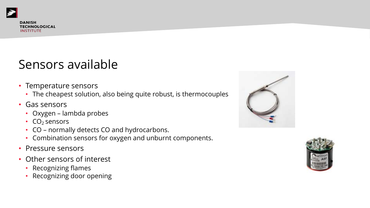#### Sensors available

- Temperature sensors
	- The cheapest solution, also being quite robust, is thermocouples
- Gas sensors
	- Oxygen lambda probes
	- $CO<sub>2</sub>$  sensors
	- CO normally detects CO and hydrocarbons.
	- Combination sensors for oxygen and unburnt components.
- Pressure sensors
- Other sensors of interest
	- Recognizing flames
	- Recognizing door opening



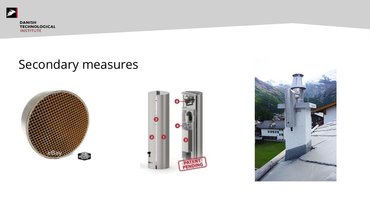

#### Secondary measures





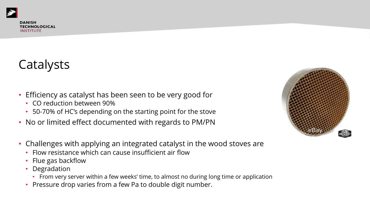# Catalysts

- Efficiency as catalyst has been seen to be very good for
	- CO reduction between 90%
	- 50-70% of HC's depending on the starting point for the stove
- No or limited effect documented with regards to PM/PN
- Challenges with applying an integrated catalyst in the wood stoves are
	- Flow resistance which can cause insufficient air flow
	- Flue gas backflow
	- Degradation
		- From very server within a few weeks' time, to almost no during long time or application
	- Pressure drop varies from a few Pa to double digit number.

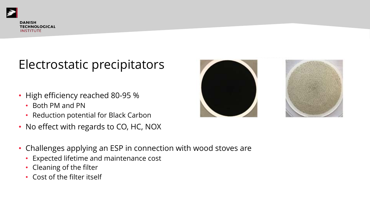#### Electrostatic precipitators

- High efficiency reached 80-95 %
	- Both PM and PN
	- Reduction potential for Black Carbon
- No effect with regards to CO, HC, NOX
- Challenges applying an ESP in connection with wood stoves are
	- Expected lifetime and maintenance cost
	- Cleaning of the filter
	- Cost of the filter itself

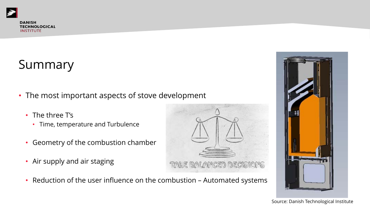

# Summary

- The most important aspects of stove development
	- The three T's
		- Time, temperature and Turbulence
	- Geometry of the combustion chamber
	- Air supply and air staging





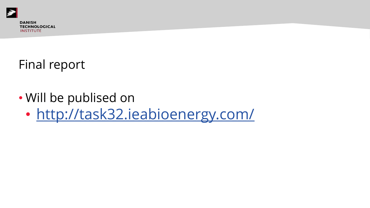

# Final report

#### • Will be publised on

• http://task32.ieabioenergy.co